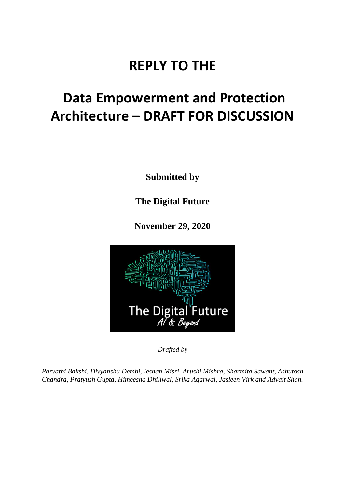# **REPLY TO THE**

# **Data Empowerment and Protection Architecture – DRAFT FOR DISCUSSION**

**Submitted by**

**The Digital Future**

**November 29, 2020**



*Drafted by* 

*Parvathi Bakshi, Divyanshu Dembi, Ieshan Misri, Arushi Mishra, Sharmita Sawant, Ashutosh Chandra, Pratyush Gupta, Himeesha Dhiliwal, Srika Agarwal, Jasleen Virk and Advait Shah.*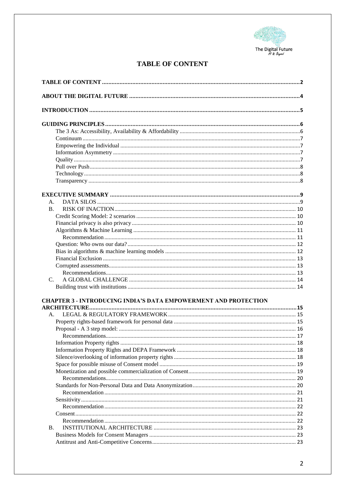

# **TABLE OF CONTENT**

<span id="page-1-0"></span>

| A.                                                                     |  |
|------------------------------------------------------------------------|--|
| <b>B.</b>                                                              |  |
|                                                                        |  |
|                                                                        |  |
|                                                                        |  |
|                                                                        |  |
|                                                                        |  |
|                                                                        |  |
|                                                                        |  |
|                                                                        |  |
|                                                                        |  |
| $C_{\cdot}$                                                            |  |
|                                                                        |  |
|                                                                        |  |
| <b>CHAPTER 3 - INTRODUCING INDIA'S DATA EMPOWERMENT AND PROTECTION</b> |  |
| A.                                                                     |  |
|                                                                        |  |
|                                                                        |  |
|                                                                        |  |
|                                                                        |  |
|                                                                        |  |
|                                                                        |  |
|                                                                        |  |
|                                                                        |  |
|                                                                        |  |
|                                                                        |  |
|                                                                        |  |
|                                                                        |  |
|                                                                        |  |
|                                                                        |  |
|                                                                        |  |
| В.                                                                     |  |
|                                                                        |  |
|                                                                        |  |
|                                                                        |  |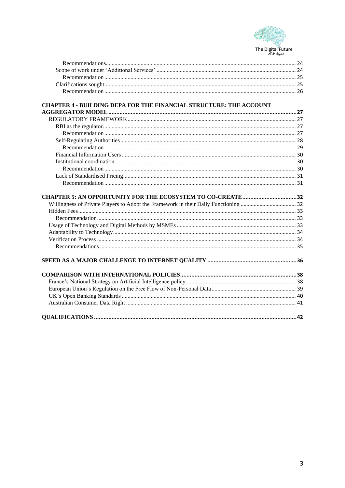

| <b>CHAPTER 4 - BUILDING DEPA FOR THE FINANCIAL STRUCTURE: THE ACCOUNT</b> |  |
|---------------------------------------------------------------------------|--|
|                                                                           |  |
|                                                                           |  |
|                                                                           |  |
|                                                                           |  |
|                                                                           |  |
|                                                                           |  |
|                                                                           |  |
|                                                                           |  |
|                                                                           |  |
|                                                                           |  |
|                                                                           |  |
|                                                                           |  |
|                                                                           |  |
|                                                                           |  |
|                                                                           |  |
|                                                                           |  |
|                                                                           |  |
|                                                                           |  |
|                                                                           |  |
|                                                                           |  |
|                                                                           |  |
|                                                                           |  |
|                                                                           |  |
|                                                                           |  |
|                                                                           |  |
|                                                                           |  |
|                                                                           |  |
|                                                                           |  |
|                                                                           |  |
|                                                                           |  |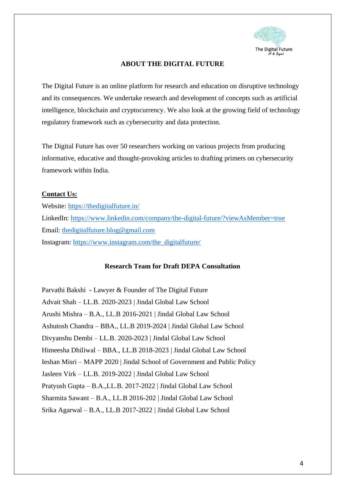

# **ABOUT THE DIGITAL FUTURE**

<span id="page-3-0"></span>The Digital Future is an online platform for research and education on disruptive technology and its consequences. We undertake research and development of concepts such as artificial intelligence, blockchain and cryptocurrency. We also look at the growing field of technology regulatory framework such as cybersecurity and data protection.

The Digital Future has over 50 researchers working on various projects from producing informative, educative and thought-provoking articles to drafting primers on cybersecurity framework within India.

# **Contact Us:**

Website:<https://thedigitalfuture.in/> LinkedIn:<https://www.linkedin.com/company/the-digital-future/?viewAsMember=true> Email: [thedigitalfuture.blog@gmail.com](mailto:thedigitalfuture.blog@gmail.com) Instagram: [https://www.instagram.com/the\\_digitalfuture/](https://www.instagram.com/the_digitalfuture/)

# **Research Team for Draft DEPA Consultation**

Parvathi Bakshi **-** Lawyer & Founder of The Digital Future Advait Shah – LL.B. 2020-2023 | Jindal Global Law School Arushi Mishra – B.A., LL.B 2016-2021 | Jindal Global Law School Ashutosh Chandra – BBA., LL.B 2019-2024 | Jindal Global Law School Divyanshu Dembi – LL.B. 2020-2023 | Jindal Global Law School Himeesha Dhiliwal – BBA., LL.B 2018-2023 | Jindal Global Law School Ieshan Misri – MAPP 2020 | Jindal School of Government and Public Policy Jasleen Virk – LL.B. 2019-2022 | Jindal Global Law School Pratyush Gupta – B.A.,LL.B. 2017-2022 | Jindal Global Law School Sharmita Sawant – B.A., LL.B 2016-202 | Jindal Global Law School Srika Agarwal – B.A., LL.B 2017-2022 | Jindal Global Law School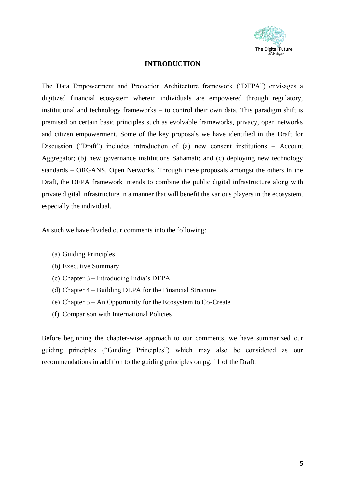

### **INTRODUCTION**

<span id="page-4-0"></span>The Data Empowerment and Protection Architecture framework ("DEPA") envisages a digitized financial ecosystem wherein individuals are empowered through regulatory, institutional and technology frameworks – to control their own data. This paradigm shift is premised on certain basic principles such as evolvable frameworks, privacy, open networks and citizen empowerment. Some of the key proposals we have identified in the Draft for Discussion ("Draft") includes introduction of (a) new consent institutions – Account Aggregator; (b) new governance institutions Sahamati; and (c) deploying new technology standards – ORGANS, Open Networks. Through these proposals amongst the others in the Draft, the DEPA framework intends to combine the public digital infrastructure along with private digital infrastructure in a manner that will benefit the various players in the ecosystem, especially the individual.

As such we have divided our comments into the following:

- (a) Guiding Principles
- (b) Executive Summary
- (c) Chapter 3 Introducing India's DEPA
- (d) Chapter 4 Building DEPA for the Financial Structure
- (e) Chapter 5 An Opportunity for the Ecosystem to Co-Create
- (f) Comparison with International Policies

Before beginning the chapter-wise approach to our comments, we have summarized our guiding principles ("Guiding Principles") which may also be considered as our recommendations in addition to the guiding principles on pg. 11 of the Draft.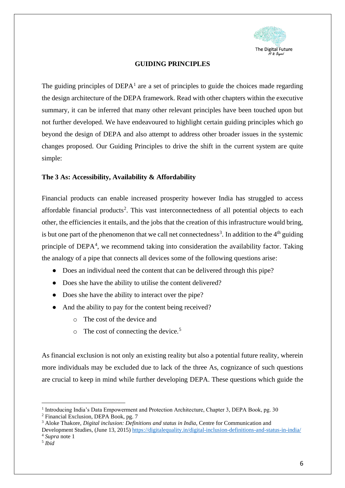

## **GUIDING PRINCIPLES**

<span id="page-5-0"></span>The guiding principles of  $DEPA<sup>1</sup>$  are a set of principles to guide the choices made regarding the design architecture of the DEPA framework. Read with other chapters within the executive summary, it can be inferred that many other relevant principles have been touched upon but not further developed. We have endeavoured to highlight certain guiding principles which go beyond the design of DEPA and also attempt to address other broader issues in the systemic changes proposed. Our Guiding Principles to drive the shift in the current system are quite simple:

# <span id="page-5-1"></span>**The 3 As: Accessibility, Availability & Affordability**

Financial products can enable increased prosperity however India has struggled to access affordable financial products<sup>2</sup>. This vast interconnectedness of all potential objects to each other, the efficiencies it entails, and the jobs that the creation of this infrastructure would bring, is but one part of the phenomenon that we call net connectedness<sup>3</sup>. In addition to the  $4<sup>th</sup>$  guiding principle of DEPA<sup>4</sup>, we recommend taking into consideration the availability factor. Taking the analogy of a pipe that connects all devices some of the following questions arise:

- Does an individual need the content that can be delivered through this pipe?
- Does she have the ability to utilise the content delivered?
- Does she have the ability to interact over the pipe?
- And the ability to pay for the content being received?
	- o The cost of the device and
	- $\circ$  The cost of connecting the device.<sup>5</sup>

As financial exclusion is not only an existing reality but also a potential future reality, wherein more individuals may be excluded due to lack of the three As, cognizance of such questions are crucial to keep in mind while further developing DEPA. These questions which guide the

<sup>&</sup>lt;sup>1</sup> Introducing India's Data Empowerment and Protection Architecture, Chapter 3, DEPA Book, pg. 30

<sup>2</sup> Financial Exclusion, DEPA Book, pg. 7

<sup>3</sup> Aloke Thakore, *Digital inclusion: Definitions and status in India*, Centre for Communication and

Development Studies, (June 13, 2015)<https://digitalequality.in/digital-inclusion-definitions-and-status-in-india/> <sup>4</sup> *Supra* note 1

<sup>5</sup> *Ibid*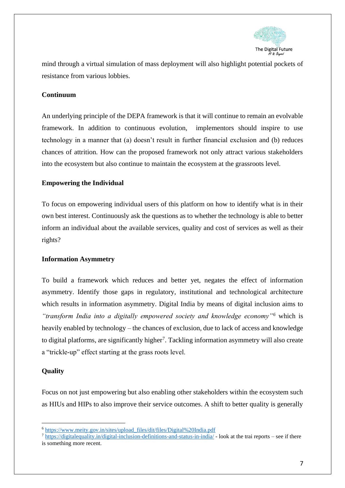

mind through a virtual simulation of mass deployment will also highlight potential pockets of resistance from various lobbies.

# <span id="page-6-0"></span>**Continuum**

An underlying principle of the DEPA framework is that it will continue to remain an evolvable framework. In addition to continuous evolution, implementors should inspire to use technology in a manner that (a) doesn't result in further financial exclusion and (b) reduces chances of attrition. How can the proposed framework not only attract various stakeholders into the ecosystem but also continue to maintain the ecosystem at the grassroots level.

# <span id="page-6-1"></span>**Empowering the Individual**

To focus on empowering individual users of this platform on how to identify what is in their own best interest. Continuously ask the questions as to whether the technology is able to better inform an individual about the available services, quality and cost of services as well as their rights?

#### <span id="page-6-2"></span>**Information Asymmetry**

To build a framework which reduces and better yet, negates the effect of information asymmetry. Identify those gaps in regulatory, institutional and technological architecture which results in information asymmetry. Digital India by means of digital inclusion aims to *"transform India into a digitally empowered society and knowledge economy"<sup>6</sup>* which is heavily enabled by technology – the chances of exclusion, due to lack of access and knowledge to digital platforms, are significantly higher<sup>7</sup>. Tackling information asymmetry will also create a "trickle-up" effect starting at the grass roots level.

#### <span id="page-6-3"></span>**Quality**

Focus on not just empowering but also enabling other stakeholders within the ecosystem such as HIUs and HIPs to also improve their service outcomes. A shift to better quality is generally

<sup>6</sup> [https://www.meity.gov.in/sites/upload\\_files/dit/files/Digital%20India.pdf](https://www.meity.gov.in/sites/upload_files/dit/files/Digital%20India.pdf)

<sup>7</sup> <https://digitalequality.in/digital-inclusion-definitions-and-status-in-india/> - look at the trai reports – see if there is something more recent.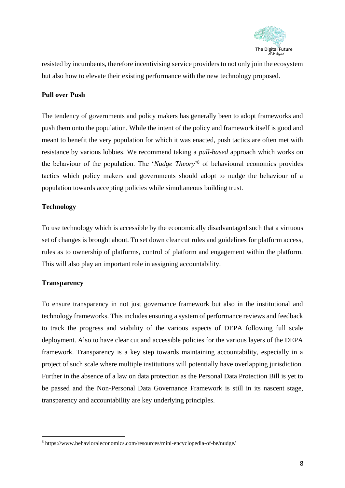

resisted by incumbents, therefore incentivising service providers to not only join the ecosystem but also how to elevate their existing performance with the new technology proposed.

# <span id="page-7-0"></span>**Pull over Push**

The tendency of governments and policy makers has generally been to adopt frameworks and push them onto the population. While the intent of the policy and framework itself is good and meant to benefit the very population for which it was enacted, push tactics are often met with resistance by various lobbies. We recommend taking a *pull*-*based* approach which works on the behaviour of the population. The '*Nudge Theory*' <sup>8</sup> of behavioural economics provides tactics which policy makers and governments should adopt to nudge the behaviour of a population towards accepting policies while simultaneous building trust.

# <span id="page-7-1"></span>**Technology**

To use technology which is accessible by the economically disadvantaged such that a virtuous set of changes is brought about. To set down clear cut rules and guidelines for platform access, rules as to ownership of platforms, control of platform and engagement within the platform. This will also play an important role in assigning accountability.

# <span id="page-7-2"></span>**Transparency**

To ensure transparency in not just governance framework but also in the institutional and technology frameworks. This includes ensuring a system of performance reviews and feedback to track the progress and viability of the various aspects of DEPA following full scale deployment. Also to have clear cut and accessible policies for the various layers of the DEPA framework. Transparency is a key step towards maintaining accountability, especially in a project of such scale where multiple institutions will potentially have overlapping jurisdiction. Further in the absence of a law on data protection as the Personal Data Protection Bill is yet to be passed and the Non-Personal Data Governance Framework is still in its nascent stage, transparency and accountability are key underlying principles.

<sup>8</sup> https://www.behavioraleconomics.com/resources/mini-encyclopedia-of-be/nudge/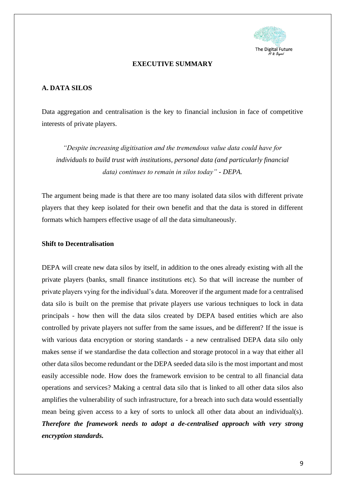

### **EXECUTIVE SUMMARY**

# <span id="page-8-1"></span><span id="page-8-0"></span>**A. DATA SILOS**

Data aggregation and centralisation is the key to financial inclusion in face of competitive interests of private players.

*"Despite increasing digitisation and the tremendous value data could have for individuals to build trust with institutions, personal data (and particularly financial data) continues to remain in silos today" - DEPA.*

The argument being made is that there are too many isolated data silos with different private players that they keep isolated for their own benefit and that the data is stored in different formats which hampers effective usage of *all* the data simultaneously.

#### **Shift to Decentralisation**

DEPA will create new data silos by itself, in addition to the ones already existing with all the private players (banks, small finance institutions etc). So that will increase the number of private players vying for the individual's data. Moreover if the argument made for a centralised data silo is built on the premise that private players use various techniques to lock in data principals - how then will the data silos created by DEPA based entities which are also controlled by private players not suffer from the same issues, and be different? If the issue is with various data encryption or storing standards - a new centralised DEPA data silo only makes sense if we standardise the data collection and storage protocol in a way that either all other data silos become redundant or the DEPA seeded data silo is the most important and most easily accessible node. How does the framework envision to be central to all financial data operations and services? Making a central data silo that is linked to all other data silos also amplifies the vulnerability of such infrastructure, for a breach into such data would essentially mean being given access to a key of sorts to unlock all other data about an individual(s). *Therefore the framework needs to adopt a de-centralised approach with very strong encryption standards.*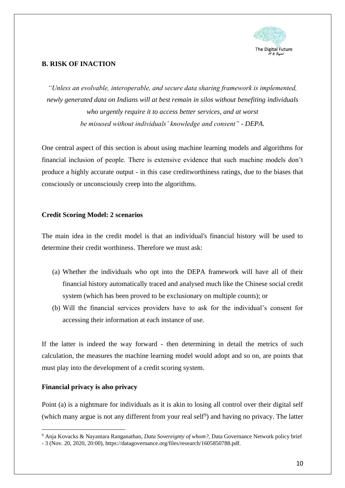

# <span id="page-9-0"></span>**B. RISK OF INACTION**

*"Unless an evolvable, interoperable, and secure data sharing framework is implemented, newly generated data on Indians will at best remain in silos without benefiting individuals who urgently require it to access better services, and at worst be misused without individuals' knowledge and consent" - DEPA.*

One central aspect of this section is about using machine learning models and algorithms for financial inclusion of people. There is extensive evidence that such machine models don't produce a highly accurate output - in this case creditworthiness ratings, due to the biases that consciously or unconsciously creep into the algorithms.

# <span id="page-9-1"></span>**Credit Scoring Model: 2 scenarios**

The main idea in the credit model is that an individual's financial history will be used to determine their credit worthiness. Therefore we must ask:

- (a) Whether the individuals who opt into the DEPA framework will have all of their financial history automatically traced and analysed much like the Chinese social credit system (which has been proved to be exclusionary on multiple counts); or
- (b) Will the financial services providers have to ask for the individual's consent for accessing their information at each instance of use.

If the latter is indeed the way forward - then determining in detail the metrics of such calculation, the measures the machine learning model would adopt and so on, are points that must play into the development of a credit scoring system.

# <span id="page-9-2"></span>**Financial privacy is also privacy**

Point (a) is a nightmare for individuals as it is akin to losing all control over their digital self (which many argue is not any different from your real self<sup>9</sup>) and having no privacy. The latter

<sup>9</sup> Anja Kovacks & Nayantara Ranganathan, *Data Sovereignty of whom?,* Data Governance Network policy brief

<sup>-</sup> 3 (Nov. 20, 2020, 20:00), https://datagovernance.org/files/research/1605850788.pdf.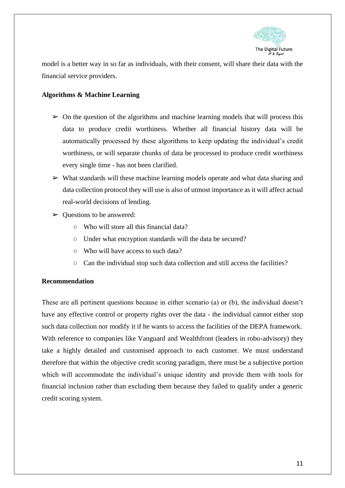

model is a better way in so far as individuals, with their consent, will share their data with the financial service providers.

# <span id="page-10-0"></span>**Algorithms & Machine Learning**

- $\triangleright$  On the question of the algorithms and machine learning models that will process this data to produce credit worthiness. Whether all financial history data will be automatically processed by these algorithms to keep updating the individual's credit worthiness, or will separate chunks of data be processed to produce credit worthiness every single time - has not been clarified.
- $\triangleright$  What standards will these machine learning models operate and what data sharing and data collection protocol they will use is also of utmost importance as it will affect actual real-world decisions of lending.
- $\triangleright$  Questions to be answered:
	- Who will store all this financial data?
	- Under what encryption standards will the data be secured?
	- Who will have access to such data?
	- Can the individual stop such data collection and still access the facilities?

#### <span id="page-10-1"></span>**Recommendation**

These are all pertinent questions because in either scenario (a) or (b), the individual doesn't have any effective control or property rights over the data - the individual cannot either stop such data collection nor modify it if he wants to access the facilities of the DEPA framework. With reference to companies like Vanguard and Wealthfront (leaders in robo-advisory) they take a highly detailed and customised approach to each customer. We must understand therefore that within the objective credit scoring paradigm, there must be a subjective portion which will accommodate the individual's unique identity and provide them with tools for financial inclusion rather than excluding them because they failed to qualify under a generic credit scoring system.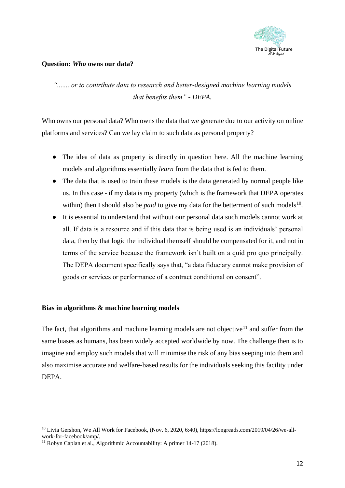

# <span id="page-11-0"></span>**Question:** *Who* **owns our data?**

*"........or to contribute data to research and better-designed machine learning models that benefits them" - DEPA.*

Who owns our personal data? Who owns the data that we generate due to our activity on online platforms and services? Can we lay claim to such data as personal property?

- The idea of data as property is directly in question here. All the machine learning models and algorithms essentially *learn* from the data that is fed to them.
- The data that is used to train these models is the data generated by normal people like us. In this case - if my data is my property (which is the framework that DEPA operates within) then I should also be *paid* to give my data for the betterment of such models<sup>10</sup>.
- It is essential to understand that without our personal data such models cannot work at all. If data is a resource and if this data that is being used is an individuals' personal data, then by that logic the individual themself should be compensated for it, and not in terms of the service because the framework isn't built on a quid pro quo principally. The DEPA document specifically says that, "a data fiduciary cannot make provision of goods or services or performance of a contract conditional on consent".

# <span id="page-11-1"></span>**Bias in algorithms & machine learning models**

The fact, that algorithms and machine learning models are not objective<sup>11</sup> and suffer from the same biases as humans, has been widely accepted worldwide by now. The challenge then is to imagine and employ such models that will minimise the risk of any bias seeping into them and also maximise accurate and welfare-based results for the individuals seeking this facility under DEPA.

<sup>10</sup> Livia Gershon, We All Work for Facebook, (Nov. 6, 2020, 6:40), https://longreads.com/2019/04/26/we-allwork-for-facebook/amp/.

<sup>&</sup>lt;sup>11</sup> Robyn Caplan et al., Algorithmic Accountability: A primer  $14-17$  (2018).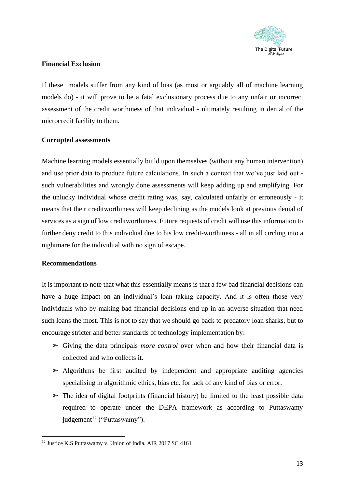

# <span id="page-12-0"></span>**Financial Exclusion**

If these models suffer from any kind of bias (as most or arguably all of machine learning models do) - it will prove to be a fatal exclusionary process due to any unfair or incorrect assessment of the credit worthiness of that individual - ultimately resulting in denial of the microcredit facility to them.

# <span id="page-12-1"></span>**Corrupted assessments**

Machine learning models essentially build upon themselves (without any human intervention) and use prior data to produce future calculations. In such a context that we've just laid out such vulnerabilities and wrongly done assessments will keep adding up and amplifying. For the unlucky individual whose credit rating was, say, calculated unfairly or erroneously - it means that their creditworthiness will keep declining as the models look at previous denial of services as a sign of low creditworthiness. Future requests of credit will use this information to further deny credit to this individual due to his low credit-worthiness - all in all circling into a nightmare for the individual with no sign of escape.

# <span id="page-12-2"></span>**Recommendations**

It is important to note that what this essentially means is that a few bad financial decisions can have a huge impact on an individual's loan taking capacity. And it is often those very individuals who by making bad financial decisions end up in an adverse situation that need such loans the most. This is not to say that we should go back to predatory loan sharks, but to encourage stricter and better standards of technology implementation by:

- ➢ Giving the data principals *more control* over when and how their financial data is collected and who collects it.
- $\triangleright$  Algorithms be first audited by independent and appropriate auditing agencies specialising in algorithmic ethics, bias etc. for lack of any kind of bias or error.
- $\triangleright$  The idea of digital footprints (financial history) be limited to the least possible data required to operate under the DEPA framework as according to Puttaswamy judgement<sup>12</sup> ("Puttaswamy").

<sup>&</sup>lt;sup>12</sup> Justice K.S Puttaswamy v. Union of India, AIR 2017 SC 4161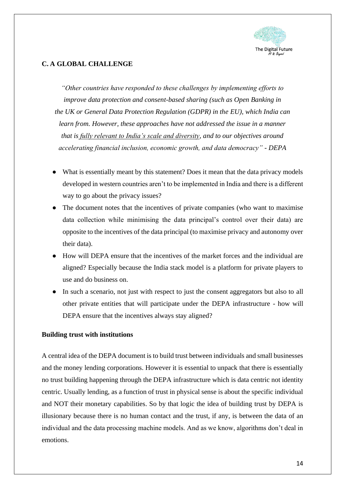

# <span id="page-13-0"></span>**C. A GLOBAL CHALLENGE**

*"Other countries have responded to these challenges by implementing efforts to improve data protection and consent-based sharing (such as Open Banking in the UK or General Data Protection Regulation (GDPR) in the EU), which India can learn from. However, these approaches have not addressed the issue in a manner that is fully relevant to India's scale and diversity, and to our objectives around accelerating financial inclusion, economic growth, and data democracy" - DEPA*

- What is essentially meant by this statement? Does it mean that the data privacy models developed in western countries aren't to be implemented in India and there is a different way to go about the privacy issues?
- The document notes that the incentives of private companies (who want to maximise data collection while minimising the data principal's control over their data) are opposite to the incentives of the data principal (to maximise privacy and autonomy over their data).
- How will DEPA ensure that the incentives of the market forces and the individual are aligned? Especially because the India stack model is a platform for private players to use and do business on.
- In such a scenario, not just with respect to just the consent aggregators but also to all other private entities that will participate under the DEPA infrastructure - how will DEPA ensure that the incentives always stay aligned?

#### <span id="page-13-1"></span>**Building trust with institutions**

A central idea of the DEPA document is to build trust between individuals and small businesses and the money lending corporations. However it is essential to unpack that there is essentially no trust building happening through the DEPA infrastructure which is data centric not identity centric. Usually lending, as a function of trust in physical sense is about the specific individual and NOT their monetary capabilities. So by that logic the idea of building trust by DEPA is illusionary because there is no human contact and the trust, if any, is between the data of an individual and the data processing machine models. And as we know, algorithms don't deal in emotions.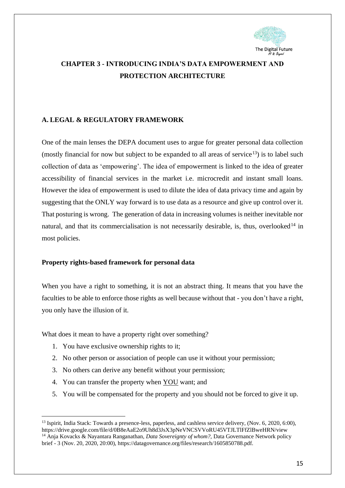

# <span id="page-14-0"></span>**CHAPTER 3 - INTRODUCING INDIA'S DATA EMPOWERMENT AND PROTECTION ARCHITECTURE**

# <span id="page-14-1"></span>**A. LEGAL & REGULATORY FRAMEWORK**

One of the main lenses the DEPA document uses to argue for greater personal data collection (mostly financial for now but subject to be expanded to all areas of service  $\frac{13}{3}$ ) is to label such collection of data as 'empowering'. The idea of empowerment is linked to the idea of greater accessibility of financial services in the market i.e. microcredit and instant small loans. However the idea of empowerment is used to dilute the idea of data privacy time and again by suggesting that the ONLY way forward is to use data as a resource and give up control over it. That posturing is wrong. The generation of data in increasing volumes is neither inevitable nor natural, and that its commercialisation is not necessarily desirable, is, thus, overlooked<sup>14</sup> in most policies.

#### <span id="page-14-2"></span>**Property rights-based framework for personal data**

When you have a right to something, it is not an abstract thing. It means that you have the faculties to be able to enforce those rights as well because without that - you don't have a right, you only have the illusion of it.

What does it mean to have a property right over something?

- 1. You have exclusive ownership rights to it;
- 2. No other person or association of people can use it without your permission;
- 3. No others can derive any benefit without your permission;
- 4. You can transfer the property when YOU want; and
- 5. You will be compensated for the property and you should not be forced to give it up.

<sup>&</sup>lt;sup>13</sup> Ispirit, India Stack: Towards a presence-less, paperless, and cashless service delivery, (Nov. 6, 2020, 6:00), https://drive.google.com/file/d/0B8eAaE2o9Uh8d3JsX3pNeVNCSVVoRU45VTJLTlFfZlBweHRN/view

<sup>14</sup> Anja Kovacks & Nayantara Ranganathan, *Data Sovereignty of whom?,* Data Governance Network policy brief - 3 (Nov. 20, 2020, 20:00), https://datagovernance.org/files/research/1605850788.pdf.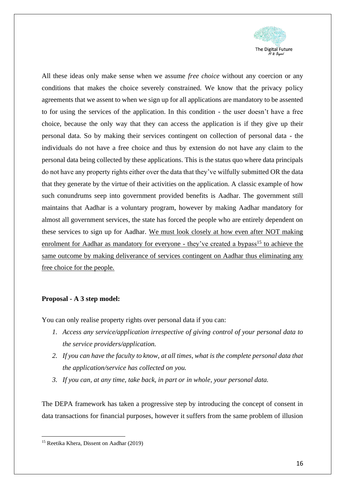

All these ideas only make sense when we assume *free choice* without any coercion or any conditions that makes the choice severely constrained. We know that the privacy policy agreements that we assent to when we sign up for all applications are mandatory to be assented to for using the services of the application. In this condition - the user doesn't have a free choice, because the only way that they can access the application is if they give up their personal data. So by making their services contingent on collection of personal data - the individuals do not have a free choice and thus by extension do not have any claim to the personal data being collected by these applications. This is the status quo where data principals do not have any property rights either over the data that they've wilfully submitted OR the data that they generate by the virtue of their activities on the application. A classic example of how such conundrums seep into government provided benefits is Aadhar. The government still maintains that Aadhar is a voluntary program, however by making Aadhar mandatory for almost all government services, the state has forced the people who are entirely dependent on these services to sign up for Aadhar. We must look closely at how even after NOT making enrolment for Aadhar as mandatory for everyone - they've created a bypass<sup>15</sup> to achieve the same outcome by making deliverance of services contingent on Aadhar thus eliminating any free choice for the people.

#### <span id="page-15-0"></span>**Proposal - A 3 step model:**

You can only realise property rights over personal data if you can:

- *1. Access any service/application irrespective of giving control of your personal data to the service providers/application.*
- *2. If you can have the faculty to know, at all times, what is the complete personal data that the application/service has collected on you.*
- *3. If you can, at any time, take back, in part or in whole, your personal data.*

The DEPA framework has taken a progressive step by introducing the concept of consent in data transactions for financial purposes, however it suffers from the same problem of illusion

<sup>15</sup> Reetika Khera, Dissent on Aadhar (2019)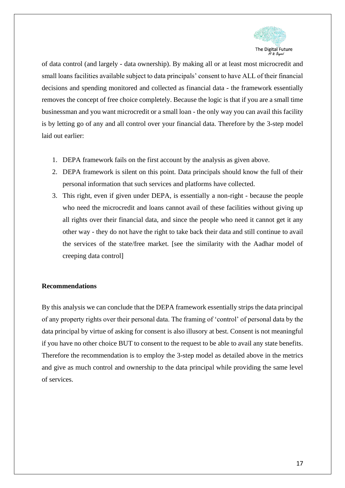

of data control (and largely - data ownership). By making all or at least most microcredit and small loans facilities available subject to data principals' consent to have ALL of their financial decisions and spending monitored and collected as financial data - the framework essentially removes the concept of free choice completely. Because the logic is that if you are a small time businessman and you want microcredit or a small loan - the only way you can avail this facility is by letting go of any and all control over your financial data. Therefore by the 3-step model laid out earlier:

- 1. DEPA framework fails on the first account by the analysis as given above.
- 2. DEPA framework is silent on this point. Data principals should know the full of their personal information that such services and platforms have collected.
- 3. This right, even if given under DEPA, is essentially a non-right because the people who need the microcredit and loans cannot avail of these facilities without giving up all rights over their financial data, and since the people who need it cannot get it any other way - they do not have the right to take back their data and still continue to avail the services of the state/free market. [see the similarity with the Aadhar model of creeping data control]

# <span id="page-16-0"></span>**Recommendations**

By this analysis we can conclude that the DEPA framework essentially strips the data principal of any property rights over their personal data. The framing of 'control' of personal data by the data principal by virtue of asking for consent is also illusory at best. Consent is not meaningful if you have no other choice BUT to consent to the request to be able to avail any state benefits. Therefore the recommendation is to employ the 3-step model as detailed above in the metrics and give as much control and ownership to the data principal while providing the same level of services.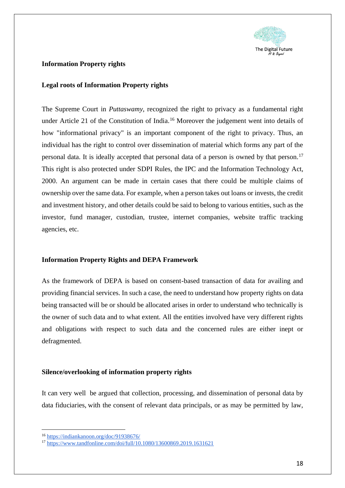

# <span id="page-17-0"></span>**Information Property rights**

#### **Legal roots of Information Property rights**

The Supreme Court in *Puttaswamy*, recognized the right to privacy as a fundamental right under Article 21 of the Constitution of India.<sup>16</sup> Moreover the judgement went into details of how "informational privacy" is an important component of the right to privacy. Thus, an individual has the right to control over dissemination of material which forms any part of the personal data. It is ideally accepted that personal data of a person is owned by that person.<sup>17</sup> This right is also protected under SDPI Rules, the IPC and the Information Technology Act, 2000. An argument can be made in certain cases that there could be multiple claims of ownership over the same data. For example, when a person takes out loans or invests, the credit and investment history, and other details could be said to belong to various entities, such as the investor, fund manager, custodian, trustee, internet companies, website traffic tracking agencies, etc.

#### <span id="page-17-1"></span>**Information Property Rights and DEPA Framework**

As the framework of DEPA is based on consent-based transaction of data for availing and providing financial services. In such a case, the need to understand how property rights on data being transacted will be or should be allocated arises in order to understand who technically is the owner of such data and to what extent. All the entities involved have very different rights and obligations with respect to such data and the concerned rules are either inept or defragmented.

#### <span id="page-17-2"></span>**Silence/overlooking of information property rights**

It can very well be argued that collection, processing, and dissemination of personal data by data fiduciaries, with the consent of relevant data principals, or as may be permitted by law,

<sup>16</sup> <https://indiankanoon.org/doc/91938676/>

<sup>17</sup> <https://www.tandfonline.com/doi/full/10.1080/13600869.2019.1631621>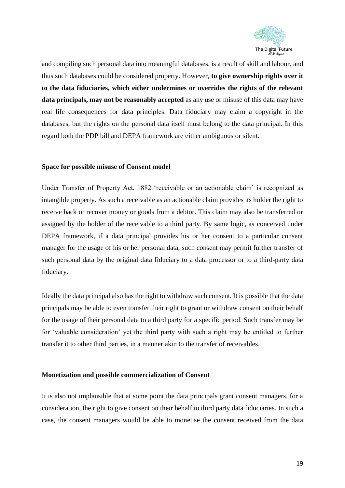

and compiling such personal data into meaningful databases, is a result of skill and labour, and thus such databases could be considered property. However, **to give ownership rights over it to the data fiduciaries, which either undermines or overrides the rights of the relevant data principals, may not be reasonably accepted** as any use or misuse of this data may have real life consequences for data principles. Data fiduciary may claim a copyright in the databases, but the rights on the personal data itself must belong to the data principal. In this regard both the PDP bill and DEPA framework are either ambiguous or silent.

#### <span id="page-18-0"></span>**Space for possible misuse of Consent model**

Under Transfer of Property Act, 1882 'receivable or an actionable claim' is recognized as intangible property. As such a receivable as an actionable claim provides its holder the right to receive back or recover money or goods from a debtor. This claim may also be transferred or assigned by the holder of the receivable to a third party. By same logic, as conceived under DEPA framework, if a data principal provides his or her consent to a particular consent manager for the usage of his or her personal data, such consent may permit further transfer of such personal data by the original data fiduciary to a data processor or to a third-party data fiduciary.

Ideally the data principal also has the right to withdraw such consent. It is possible that the data principals may be able to even transfer their right to grant or withdraw consent on their behalf for the usage of their personal data to a third party for a specific period. Such transfer may be for 'valuable consideration' yet the third party with such a right may be entitled to further transfer it to other third parties, in a manner akin to the transfer of receivables.

#### <span id="page-18-1"></span>**Monetization and possible commercialization of Consent**

It is also not implausible that at some point the data principals grant consent managers, for a consideration, the right to give consent on their behalf to third party data fiduciaries. In such a case, the consent managers would be able to monetise the consent received from the data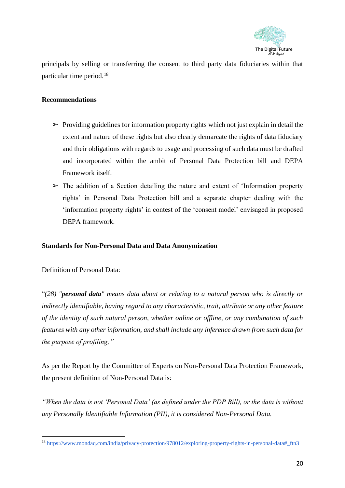

principals by selling or transferring the consent to third party data fiduciaries within that particular time period.<sup>18</sup>

# <span id="page-19-0"></span>**Recommendations**

- $\triangleright$  Providing guidelines for information property rights which not just explain in detail the extent and nature of these rights but also clearly demarcate the rights of data fiduciary and their obligations with regards to usage and processing of such data must be drafted and incorporated within the ambit of Personal Data Protection bill and DEPA Framework itself.
- $\triangleright$  The addition of a Section detailing the nature and extent of 'Information property rights' in Personal Data Protection bill and a separate chapter dealing with the 'information property rights' in contest of the 'consent model' envisaged in proposed DEPA framework.

# <span id="page-19-1"></span>**Standards for Non-Personal Data and Data Anonymization**

Definition of Personal Data:

"*(28) "personal data" means data about or relating to a natural person who is directly or indirectly identifiable, having regard to any characteristic, trait, attribute or any other feature of the identity of such natural person, whether online or offline, or any combination of such features with any other information, and shall include any inference drawn from such data for the purpose of profiling;"*

As per the Report by the Committee of Experts on Non-Personal Data Protection Framework, the present definition of Non-Personal Data is:

*"When the data is not 'Personal Data' (as defined under the PDP Bill), or the data is without any Personally Identifiable Information (PII), it is considered Non-Personal Data.*

<sup>18</sup> [https://www.mondaq.com/india/privacy-protection/978012/exploring-property-rights-in-personal-data#\\_ftn3](https://www.mondaq.com/india/privacy-protection/978012/exploring-property-rights-in-personal-data#_ftn3)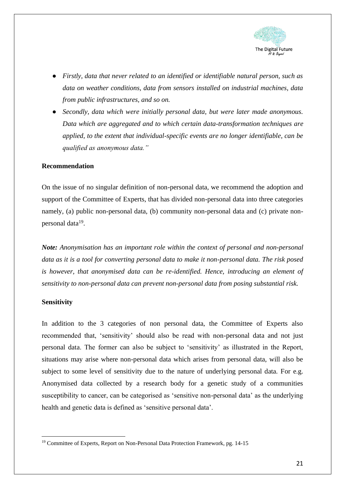

- *Firstly, data that never related to an identified or identifiable natural person, such as data on weather conditions, data from sensors installed on industrial machines, data from public infrastructures, and so on.*
- *Secondly, data which were initially personal data, but were later made anonymous. Data which are aggregated and to which certain data-transformation techniques are applied, to the extent that individual-specific events are no longer identifiable, can be qualified as anonymous data."*

#### <span id="page-20-0"></span>**Recommendation**

On the issue of no singular definition of non-personal data, we recommend the adoption and support of the Committee of Experts, that has divided non-personal data into three categories namely, (a) public non-personal data, (b) community non-personal data and (c) private nonpersonal data<sup>19</sup>.

*Note: Anonymisation has an important role within the context of personal and non-personal data as it is a tool for converting personal data to make it non-personal data. The risk posed is however, that anonymised data can be re-identified. Hence, introducing an element of sensitivity to non-personal data can prevent non-personal data from posing substantial risk.*

#### <span id="page-20-1"></span>**Sensitivity**

In addition to the 3 categories of non personal data, the Committee of Experts also recommended that, 'sensitivity' should also be read with non-personal data and not just personal data. The former can also be subject to 'sensitivity' as illustrated in the Report, situations may arise where non-personal data which arises from personal data, will also be subject to some level of sensitivity due to the nature of underlying personal data. For e.g. Anonymised data collected by a research body for a genetic study of a communities susceptibility to cancer, can be categorised as 'sensitive non-personal data' as the underlying health and genetic data is defined as 'sensitive personal data'.

<sup>&</sup>lt;sup>19</sup> Committee of Experts, Report on Non-Personal Data Protection Framework, pg. 14-15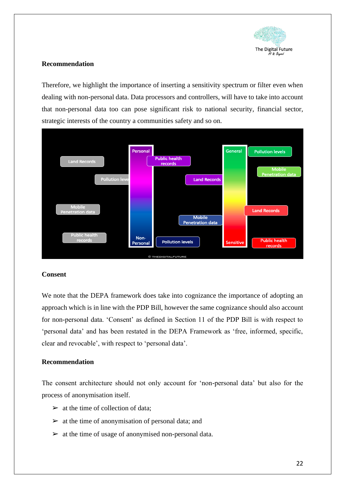

# <span id="page-21-0"></span>**Recommendation**

Therefore, we highlight the importance of inserting a sensitivity spectrum or filter even when dealing with non-personal data. Data processors and controllers, will have to take into account that non-personal data too can pose significant risk to national security, financial sector, strategic interests of the country a communities safety and so on.



# <span id="page-21-1"></span>**Consent**

We note that the DEPA framework does take into cognizance the importance of adopting an approach which is in line with the PDP Bill, however the same cognizance should also account for non-personal data. 'Consent' as defined in Section 11 of the PDP Bill is with respect to 'personal data' and has been restated in the DEPA Framework as 'free, informed, specific, clear and revocable', with respect to 'personal data'.

# <span id="page-21-2"></span>**Recommendation**

The consent architecture should not only account for 'non-personal data' but also for the process of anonymisation itself.

- $\triangleright$  at the time of collection of data;
- $\triangleright$  at the time of anonymisation of personal data; and
- $\triangleright$  at the time of usage of anonymised non-personal data.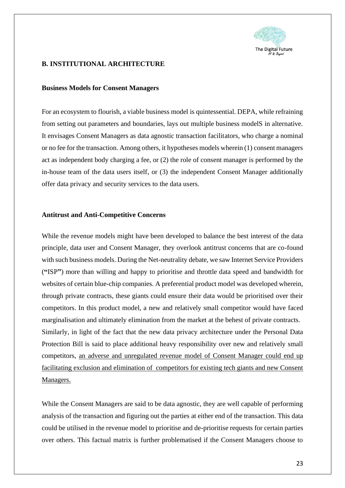

# <span id="page-22-0"></span>**B. INSTITUTIONAL ARCHITECTURE**

#### <span id="page-22-1"></span>**Business Models for Consent Managers**

For an ecosystem to flourish, a viable business model is quintessential. DEPA, while refraining from setting out parameters and boundaries, lays out multiple business modelS in alternative. It envisages Consent Managers as data agnostic transaction facilitators, who charge a nominal or no fee for the transaction. Among others, it hypotheses models wherein (1) consent managers act as independent body charging a fee, or (2) the role of consent manager is performed by the in-house team of the data users itself, or (3) the independent Consent Manager additionally offer data privacy and security services to the data users.

#### <span id="page-22-2"></span>**Antitrust and Anti-Competitive Concerns**

While the revenue models might have been developed to balance the best interest of the data principle, data user and Consent Manager, they overlook antitrust concerns that are co-found with such business models. During the Net-neutrality debate, we saw Internet Service Providers (**"**ISP**"**) more than willing and happy to prioritise and throttle data speed and bandwidth for websites of certain blue-chip companies. A preferential product model was developed wherein, through private contracts, these giants could ensure their data would be prioritised over their competitors. In this product model, a new and relatively small competitor would have faced marginalisation and ultimately elimination from the market at the behest of private contracts. Similarly, in light of the fact that the new data privacy architecture under the Personal Data Protection Bill is said to place additional heavy responsibility over new and relatively small competitors, an adverse and unregulated revenue model of Consent Manager could end up facilitating exclusion and elimination of competitors for existing tech giants and new Consent Managers.

While the Consent Managers are said to be data agnostic, they are well capable of performing analysis of the transaction and figuring out the parties at either end of the transaction. This data could be utilised in the revenue model to prioritise and de-prioritise requests for certain parties over others. This factual matrix is further problematised if the Consent Managers choose to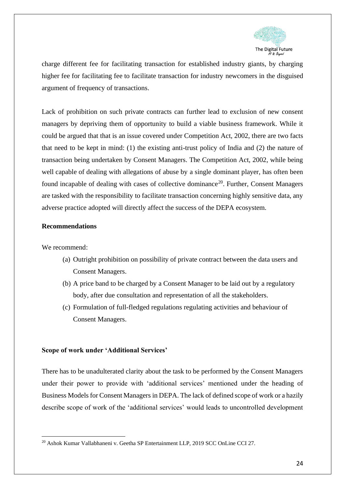

charge different fee for facilitating transaction for established industry giants, by charging higher fee for facilitating fee to facilitate transaction for industry newcomers in the disguised argument of frequency of transactions.

Lack of prohibition on such private contracts can further lead to exclusion of new consent managers by depriving them of opportunity to build a viable business framework. While it could be argued that that is an issue covered under Competition Act, 2002, there are two facts that need to be kept in mind: (1) the existing anti-trust policy of India and (2) the nature of transaction being undertaken by Consent Managers. The Competition Act, 2002, while being well capable of dealing with allegations of abuse by a single dominant player, has often been found incapable of dealing with cases of collective dominance<sup>20</sup>. Further, Consent Managers are tasked with the responsibility to facilitate transaction concerning highly sensitive data, any adverse practice adopted will directly affect the success of the DEPA ecosystem.

#### <span id="page-23-0"></span>**Recommendations**

We recommend:

- (a) Outright prohibition on possibility of private contract between the data users and Consent Managers.
- (b) A price band to be charged by a Consent Manager to be laid out by a regulatory body, after due consultation and representation of all the stakeholders.
- (c) Formulation of full-fledged regulations regulating activities and behaviour of Consent Managers.

#### <span id="page-23-1"></span>**Scope of work under 'Additional Services'**

There has to be unadulterated clarity about the task to be performed by the Consent Managers under their power to provide with 'additional services' mentioned under the heading of Business Models for Consent Managers in DEPA. The lack of defined scope of work or a hazily describe scope of work of the 'additional services' would leads to uncontrolled development

<sup>&</sup>lt;sup>20</sup> Ashok Kumar Vallabhaneni v. Geetha SP Entertainment LLP, 2019 SCC OnLine CCI 27.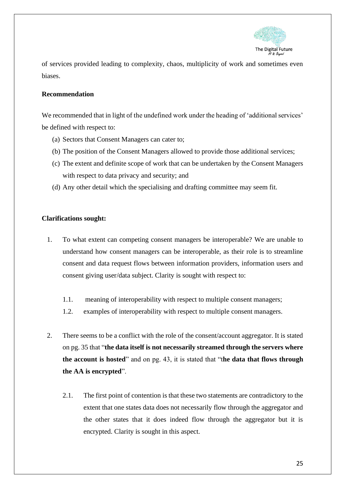

of services provided leading to complexity, chaos, multiplicity of work and sometimes even biases.

# <span id="page-24-0"></span>**Recommendation**

We recommended that in light of the undefined work under the heading of 'additional services' be defined with respect to:

- (a) Sectors that Consent Managers can cater to;
- (b) The position of the Consent Managers allowed to provide those additional services;
- (c) The extent and definite scope of work that can be undertaken by the Consent Managers with respect to data privacy and security; and
- (d) Any other detail which the specialising and drafting committee may seem fit.

# <span id="page-24-1"></span>**Clarifications sought:**

- 1. To what extent can competing consent managers be interoperable? We are unable to understand how consent managers can be interoperable, as their role is to streamline consent and data request flows between information providers, information users and consent giving user/data subject. Clarity is sought with respect to:
	- 1.1. meaning of interoperability with respect to multiple consent managers;
	- 1.2. examples of interoperability with respect to multiple consent managers.
- 2. There seems to be a conflict with the role of the consent/account aggregator. It is stated on pg. 35 that "**the data itself is not necessarily streamed through the servers where the account is hosted**" and on pg. 43, it is stated that "t**he data that flows through the AA is encrypted**".
	- 2.1. The first point of contention is that these two statements are contradictory to the extent that one states data does not necessarily flow through the aggregator and the other states that it does indeed flow through the aggregator but it is encrypted. Clarity is sought in this aspect.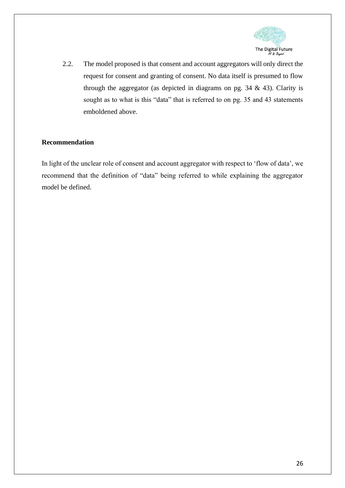

2.2. The model proposed is that consent and account aggregators will only direct the request for consent and granting of consent. No data itself is presumed to flow through the aggregator (as depicted in diagrams on pg.  $34 \& 43$ ). Clarity is sought as to what is this "data" that is referred to on pg. 35 and 43 statements emboldened above.

# <span id="page-25-0"></span>**Recommendation**

In light of the unclear role of consent and account aggregator with respect to 'flow of data', we recommend that the definition of "data" being referred to while explaining the aggregator model be defined.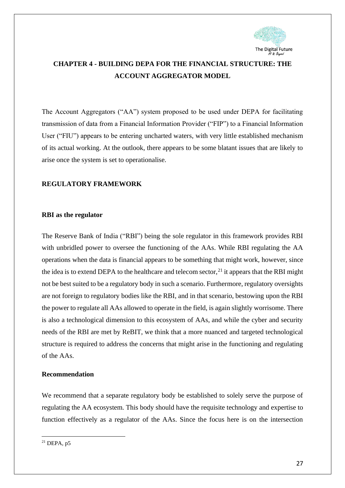

# <span id="page-26-0"></span>**CHAPTER 4 - BUILDING DEPA FOR THE FINANCIAL STRUCTURE: THE ACCOUNT AGGREGATOR MODEL**

The Account Aggregators ("AA") system proposed to be used under DEPA for facilitating transmission of data from a Financial Information Provider ("FIP") to a Financial Information User ("FIU") appears to be entering uncharted waters, with very little established mechanism of its actual working. At the outlook, there appears to be some blatant issues that are likely to arise once the system is set to operationalise.

# <span id="page-26-1"></span>**REGULATORY FRAMEWORK**

#### <span id="page-26-2"></span>**RBI as the regulator**

The Reserve Bank of India ("RBI") being the sole regulator in this framework provides RBI with unbridled power to oversee the functioning of the AAs. While RBI regulating the AA operations when the data is financial appears to be something that might work, however, since the idea is to extend DEPA to the healthcare and telecom sector,  $^{21}$  it appears that the RBI might not be best suited to be a regulatory body in such a scenario. Furthermore, regulatory oversights are not foreign to regulatory bodies like the RBI, and in that scenario, bestowing upon the RBI the power to regulate all AAs allowed to operate in the field, is again slightly worrisome. There is also a technological dimension to this ecosystem of AAs, and while the cyber and security needs of the RBI are met by ReBIT, we think that a more nuanced and targeted technological structure is required to address the concerns that might arise in the functioning and regulating of the AAs.

#### <span id="page-26-3"></span>**Recommendation**

We recommend that a separate regulatory body be established to solely serve the purpose of regulating the AA ecosystem. This body should have the requisite technology and expertise to function effectively as a regulator of the AAs. Since the focus here is on the intersection

 $^{21}$  DEPA,  $n5$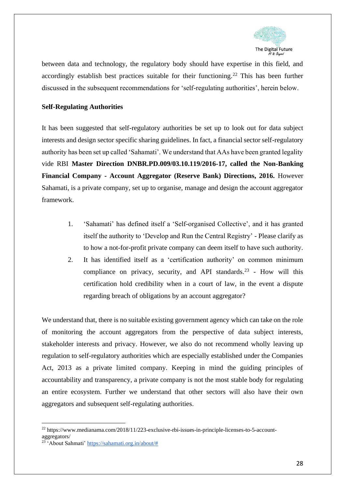

between data and technology, the regulatory body should have expertise in this field, and accordingly establish best practices suitable for their functioning.<sup>22</sup> This has been further discussed in the subsequent recommendations for 'self-regulating authorities', herein below.

# <span id="page-27-0"></span>**Self-Regulating Authorities**

It has been suggested that self-regulatory authorities be set up to look out for data subject interests and design sector specific sharing guidelines. In fact, a financial sector self-regulatory authority has been set up called 'Sahamati'. We understand that AAs have been granted legality vide RBI **Master Direction DNBR.PD.009/03.10.119/2016-17, called the Non-Banking Financial Company - Account Aggregator (Reserve Bank) Directions, 2016.** However Sahamati, is a private company, set up to organise, manage and design the account aggregator framework.

- 1. 'Sahamati' has defined itself a 'Self-organised Collective', and it has granted itself the authority to 'Develop and Run the Central Registry' - Please clarify as to how a not-for-profit private company can deem itself to have such authority.
- 2. It has identified itself as a 'certification authority' on common minimum compliance on privacy, security, and API standards.<sup>23</sup> - How will this certification hold credibility when in a court of law, in the event a dispute regarding breach of obligations by an account aggregator?

We understand that, there is no suitable existing government agency which can take on the role of monitoring the account aggregators from the perspective of data subject interests, stakeholder interests and privacy. However, we also do not recommend wholly leaving up regulation to self-regulatory authorities which are especially established under the Companies Act, 2013 as a private limited company. Keeping in mind the guiding principles of accountability and transparency, a private company is not the most stable body for regulating an entire ecosystem. Further we understand that other sectors will also have their own aggregators and subsequent self-regulating authorities.

<sup>22</sup> https://www.medianama.com/2018/11/223-exclusive-rbi-issues-in-principle-licenses-to-5-accountaggregators/

<sup>&</sup>lt;sup>23</sup> 'About Sahmati' [https://sahamati.org.in/about/#](https://sahamati.org.in/about/)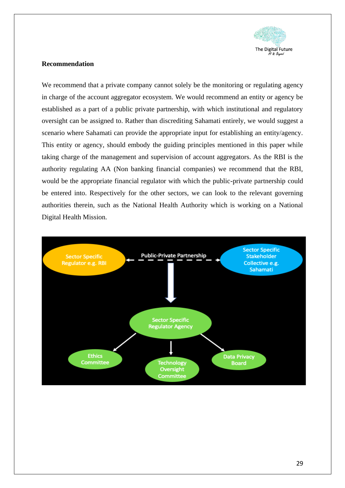

# <span id="page-28-0"></span>**Recommendation**

We recommend that a private company cannot solely be the monitoring or regulating agency in charge of the account aggregator ecosystem. We would recommend an entity or agency be established as a part of a public private partnership, with which institutional and regulatory oversight can be assigned to. Rather than discrediting Sahamati entirely, we would suggest a scenario where Sahamati can provide the appropriate input for establishing an entity/agency. This entity or agency, should embody the guiding principles mentioned in this paper while taking charge of the management and supervision of account aggregators. As the RBI is the authority regulating AA (Non banking financial companies) we recommend that the RBI, would be the appropriate financial regulator with which the public-private partnership could be entered into. Respectively for the other sectors, we can look to the relevant governing authorities therein, such as the National Health Authority which is working on a National Digital Health Mission.

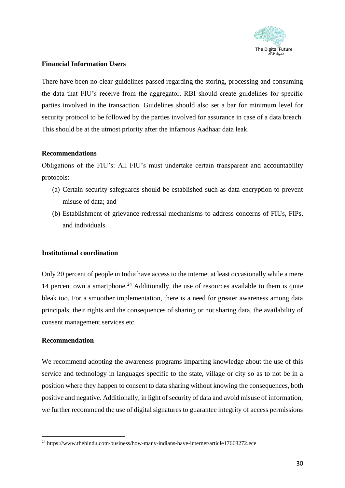

# <span id="page-29-0"></span>**Financial Information Users**

There have been no clear guidelines passed regarding the storing, processing and consuming the data that FIU's receive from the aggregator. RBI should create guidelines for specific parties involved in the transaction. Guidelines should also set a bar for minimum level for security protocol to be followed by the parties involved for assurance in case of a data breach. This should be at the utmost priority after the infamous Aadhaar data leak.

#### **Recommendations**

Obligations of the FIU's: All FIU's must undertake certain transparent and accountability protocols:

- (a) Certain security safeguards should be established such as data encryption to prevent misuse of data; and
- (b) Establishment of grievance redressal mechanisms to address concerns of FIUs, FIPs, and individuals.

#### <span id="page-29-1"></span>**Institutional coordination**

Only 20 percent of people in India have access to the internet at least occasionally while a mere 14 percent own a smartphone.<sup>24</sup> Additionally, the use of resources available to them is quite bleak too. For a smoother implementation, there is a need for greater awareness among data principals, their rights and the consequences of sharing or not sharing data, the availability of consent management services etc.

# <span id="page-29-2"></span>**Recommendation**

We recommend adopting the awareness programs imparting knowledge about the use of this service and technology in languages specific to the state, village or city so as to not be in a position where they happen to consent to data sharing without knowing the consequences, both positive and negative. Additionally, in light of security of data and avoid misuse of information, we further recommend the use of digital signatures to guarantee integrity of access permissions

 $^{24}$  https://www.thehindu.com/business/how-many-indians-have-internet/article17668272.ece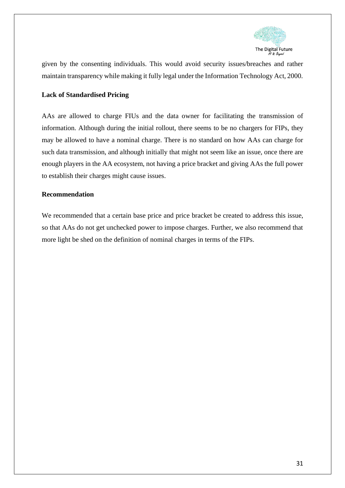

given by the consenting individuals. This would avoid security issues/breaches and rather maintain transparency while making it fully legal under the Information Technology Act, 2000.

# <span id="page-30-0"></span>**Lack of Standardised Pricing**

AAs are allowed to charge FIUs and the data owner for facilitating the transmission of information. Although during the initial rollout, there seems to be no chargers for FIPs, they may be allowed to have a nominal charge. There is no standard on how AAs can charge for such data transmission, and although initially that might not seem like an issue, once there are enough players in the AA ecosystem, not having a price bracket and giving AAs the full power to establish their charges might cause issues.

#### <span id="page-30-1"></span>**Recommendation**

We recommended that a certain base price and price bracket be created to address this issue, so that AAs do not get unchecked power to impose charges. Further, we also recommend that more light be shed on the definition of nominal charges in terms of the FIPs.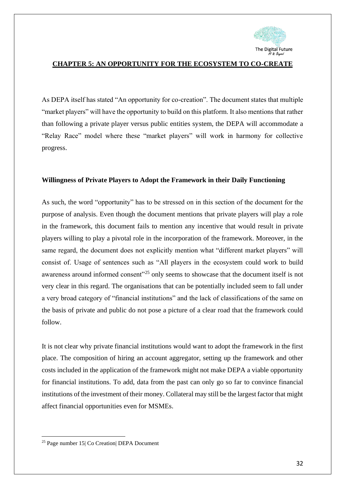

# <span id="page-31-0"></span>**CHAPTER 5: AN OPPORTUNITY FOR THE ECOSYSTEM TO CO-CREATE**

As DEPA itself has stated "An opportunity for co-creation". The document states that multiple "market players" will have the opportunity to build on this platform. It also mentions that rather than following a private player versus public entities system, the DEPA will accommodate a "Relay Race" model where these "market players" will work in harmony for collective progress.

#### <span id="page-31-1"></span>**Willingness of Private Players to Adopt the Framework in their Daily Functioning**

As such, the word "opportunity" has to be stressed on in this section of the document for the purpose of analysis. Even though the document mentions that private players will play a role in the framework, this document fails to mention any incentive that would result in private players willing to play a pivotal role in the incorporation of the framework. Moreover, in the same regard, the document does not explicitly mention what "different market players" will consist of. Usage of sentences such as "All players in the ecosystem could work to build awareness around informed consent"<sup>25</sup> only seems to showcase that the document itself is not very clear in this regard. The organisations that can be potentially included seem to fall under a very broad category of "financial institutions" and the lack of classifications of the same on the basis of private and public do not pose a picture of a clear road that the framework could follow.

It is not clear why private financial institutions would want to adopt the framework in the first place. The composition of hiring an account aggregator, setting up the framework and other costs included in the application of the framework might not make DEPA a viable opportunity for financial institutions. To add, data from the past can only go so far to convince financial institutions of the investment of their money. Collateral may still be the largest factor that might affect financial opportunities even for MSMEs.

<sup>25</sup> Page number 15| Co Creation| DEPA Document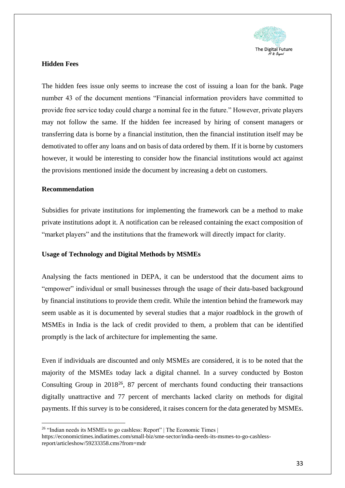

# <span id="page-32-0"></span>**Hidden Fees**

The hidden fees issue only seems to increase the cost of issuing a loan for the bank. Page number 43 of the document mentions "Financial information providers have committed to provide free service today could charge a nominal fee in the future." However, private players may not follow the same. If the hidden fee increased by hiring of consent managers or transferring data is borne by a financial institution, then the financial institution itself may be demotivated to offer any loans and on basis of data ordered by them. If it is borne by customers however, it would be interesting to consider how the financial institutions would act against the provisions mentioned inside the document by increasing a debt on customers.

#### <span id="page-32-1"></span>**Recommendation**

Subsidies for private institutions for implementing the framework can be a method to make private institutions adopt it. A notification can be released containing the exact composition of "market players" and the institutions that the framework will directly impact for clarity.

#### <span id="page-32-2"></span>**Usage of Technology and Digital Methods by MSMEs**

Analysing the facts mentioned in DEPA, it can be understood that the document aims to "empower" individual or small businesses through the usage of their data-based background by financial institutions to provide them credit. While the intention behind the framework may seem usable as it is documented by several studies that a major roadblock in the growth of MSMEs in India is the lack of credit provided to them, a problem that can be identified promptly is the lack of architecture for implementing the same.

Even if individuals are discounted and only MSMEs are considered, it is to be noted that the majority of the MSMEs today lack a digital channel. In a survey conducted by Boston Consulting Group in 2018<sup>26</sup>, 87 percent of merchants found conducting their transactions digitally unattractive and 77 percent of merchants lacked clarity on methods for digital payments. If this survey is to be considered, it raises concern for the data generated by MSMEs.

<sup>&</sup>lt;sup>26</sup> "Indian needs its MSMEs to go cashless: Report" | The Economic Times |

https://economictimes.indiatimes.com/small-biz/sme-sector/india-needs-its-msmes-to-go-cashlessreport/articleshow/59233358.cms?from=mdr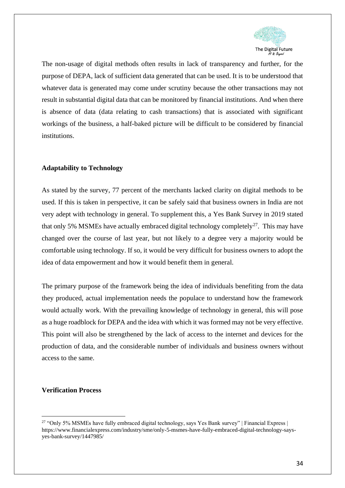

The non-usage of digital methods often results in lack of transparency and further, for the purpose of DEPA, lack of sufficient data generated that can be used. It is to be understood that whatever data is generated may come under scrutiny because the other transactions may not result in substantial digital data that can be monitored by financial institutions. And when there is absence of data (data relating to cash transactions) that is associated with significant workings of the business, a half-baked picture will be difficult to be considered by financial institutions.

# <span id="page-33-0"></span>**Adaptability to Technology**

As stated by the survey, 77 percent of the merchants lacked clarity on digital methods to be used. If this is taken in perspective, it can be safely said that business owners in India are not very adept with technology in general. To supplement this, a Yes Bank Survey in 2019 stated that only 5% MSMEs have actually embraced digital technology completely<sup>27</sup>. This may have changed over the course of last year, but not likely to a degree very a majority would be comfortable using technology. If so, it would be very difficult for business owners to adopt the idea of data empowerment and how it would benefit them in general.

The primary purpose of the framework being the idea of individuals benefiting from the data they produced, actual implementation needs the populace to understand how the framework would actually work. With the prevailing knowledge of technology in general, this will pose as a huge roadblock for DEPA and the idea with which it was formed may not be very effective. This point will also be strengthened by the lack of access to the internet and devices for the production of data, and the considerable number of individuals and business owners without access to the same.

#### <span id="page-33-1"></span>**Verification Process**

<sup>&</sup>lt;sup>27</sup> "Only 5% MSMEs have fully embraced digital technology, says Yes Bank survey" | Financial Express | https://www.financialexpress.com/industry/sme/only-5-msmes-have-fully-embraced-digital-technology-saysyes-bank-survey/1447985/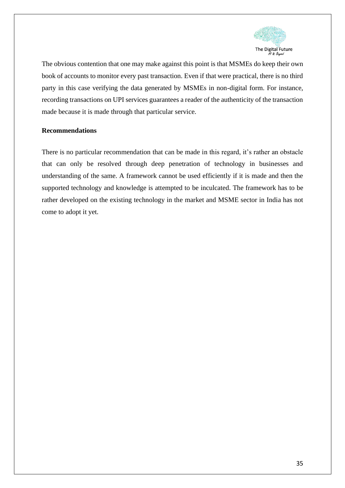

The obvious contention that one may make against this point is that MSMEs do keep their own book of accounts to monitor every past transaction. Even if that were practical, there is no third party in this case verifying the data generated by MSMEs in non-digital form. For instance, recording transactions on UPI services guarantees a reader of the authenticity of the transaction made because it is made through that particular service.

#### <span id="page-34-0"></span>**Recommendations**

There is no particular recommendation that can be made in this regard, it's rather an obstacle that can only be resolved through deep penetration of technology in businesses and understanding of the same. A framework cannot be used efficiently if it is made and then the supported technology and knowledge is attempted to be inculcated. The framework has to be rather developed on the existing technology in the market and MSME sector in India has not come to adopt it yet.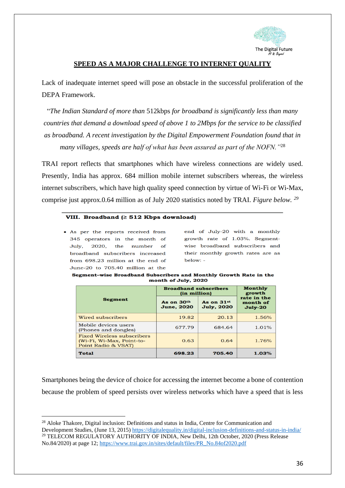

# **SPEED AS A MAJOR CHALLENGE TO INTERNET QUALITY**

<span id="page-35-0"></span>Lack of inadequate internet speed will pose an obstacle in the successful proliferation of the DEPA Framework.

"*The Indian Standard of more than* 512kbps *for broadband is significantly less than many countries that demand a download speed of above 1 to 2Mbps for the service to be classified as broadband. A recent investigation by the Digital Empowerment Foundation found that in many villages, speeds are half of what has been assured as part of the NOFN."*<sup>28</sup>

TRAI report reflects that smartphones which have wireless connections are widely used. Presently, India has approx. 684 million mobile internet subscribers whereas, the wireless internet subscribers, which have high quality speed connection by virtue of Wi-Fi or Wi-Max, comprise just approx.0.64 million as of July 2020 statistics noted by TRAI. *Figure below. <sup>29</sup>*

#### VIII. Broadband  $( \geq 512$  Kbps download)

• As per the reports received from 345 operators in the month of July, 2020, the number of broadband subscribers increased from 698.23 million at the end of June-20 to 705.40 million at the

end of July-20 with a monthly growth rate of 1.03%. Segmentwise broadband subscribers and their monthly growth rates are as below: -

| Segment–wise Broadband Subscribers and Monthly Growth Rate in the |                     |  |  |  |
|-------------------------------------------------------------------|---------------------|--|--|--|
|                                                                   | month of July, 2020 |  |  |  |

| <b>Segment</b>                                                                        | <b>Broadband subscribers</b><br>(in million) | Monthly<br>growth               |                                      |
|---------------------------------------------------------------------------------------|----------------------------------------------|---------------------------------|--------------------------------------|
|                                                                                       | As on 30th<br><b>June, 2020</b>              | As on 31st<br><b>July, 2020</b> | rate in the<br>month of<br>$July-20$ |
| Wired subscribers                                                                     | 19.82                                        | 20.13                           | 1.56%                                |
| Mobile devices users<br>(Phones and dongles)                                          | 677.79                                       | 684.64                          | 1.01%                                |
| <b>Fixed Wireless subscribers</b><br>(Wi-Fi, Wi-Max, Point-to-<br>Point Radio & VSAT) | 0.63                                         | 0.64                            | 1.76%                                |
| <b>Total</b>                                                                          | 698.23                                       | 705.40                          | 1.03%                                |

Smartphones being the device of choice for accessing the internet become a bone of contention because the problem of speed persists over wireless networks which have a speed that is less

<sup>&</sup>lt;sup>28</sup> Aloke Thakore, Digital inclusion: Definitions and status in India, Centre for Communication and Development Studies, (June 13, 2015)<https://digitalequality.in/digital-inclusion-definitions-and-status-in-india/> <sup>29</sup> TELECOM REGULATORY AUTHORITY OF INDIA, New Delhi, 12th October, 2020 (Press Release No.84/2020) at page 12[; https://www.trai.gov.in/sites/default/files/PR\\_No.84of2020.pdf](https://www.trai.gov.in/sites/default/files/PR_No.84of2020.pdf)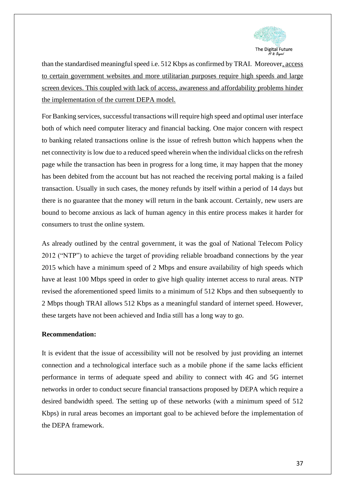

than the standardised meaningful speed i.e. 512 Kbps as confirmed by TRAI. Moreover, access to certain government websites and more utilitarian purposes require high speeds and large screen devices. This coupled with lack of access, awareness and affordability problems hinder the implementation of the current DEPA model.

For Banking services, successful transactions will require high speed and optimal user interface both of which need computer literacy and financial backing. One major concern with respect to banking related transactions online is the issue of refresh button which happens when the net connectivity is low due to a reduced speed wherein when the individual clicks on the refresh page while the transaction has been in progress for a long time, it may happen that the money has been debited from the account but has not reached the receiving portal making is a failed transaction. Usually in such cases, the money refunds by itself within a period of 14 days but there is no guarantee that the money will return in the bank account. Certainly, new users are bound to become anxious as lack of human agency in this entire process makes it harder for consumers to trust the online system.

As already outlined by the central government, it was the goal of National Telecom Policy 2012 ("NTP") to achieve the target of providing reliable broadband connections by the year 2015 which have a minimum speed of 2 Mbps and ensure availability of high speeds which have at least 100 Mbps speed in order to give high quality internet access to rural areas. NTP revised the aforementioned speed limits to a minimum of 512 Kbps and then subsequently to 2 Mbps though TRAI allows 512 Kbps as a meaningful standard of internet speed. However, these targets have not been achieved and India still has a long way to go.

#### **Recommendation:**

It is evident that the issue of accessibility will not be resolved by just providing an internet connection and a technological interface such as a mobile phone if the same lacks efficient performance in terms of adequate speed and ability to connect with 4G and 5G internet networks in order to conduct secure financial transactions proposed by DEPA which require a desired bandwidth speed. The setting up of these networks (with a minimum speed of 512 Kbps) in rural areas becomes an important goal to be achieved before the implementation of the DEPA framework.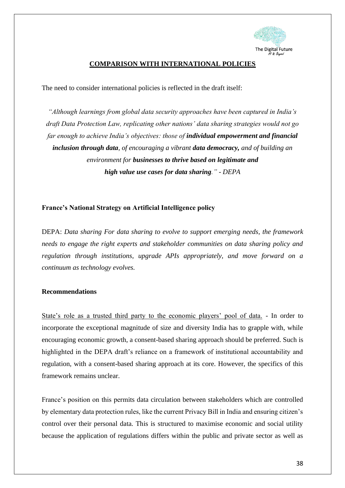

# **COMPARISON WITH INTERNATIONAL POLICIES**

<span id="page-37-0"></span>The need to consider international policies is reflected in the draft itself:

*"Although learnings from global data security approaches have been captured in India's draft Data Protection Law, replicating other nations' data sharing strategies would not go far enough to achieve India's objectives: those of individual empowerment and financial inclusion through data, of encouraging a vibrant data democracy, and of building an environment for businesses to thrive based on legitimate and high value use cases for data sharing." - DEPA*

# <span id="page-37-1"></span>**France's National Strategy on Artificial Intelligence policy**

DEPA: *Data sharing For data sharing to evolve to support emerging needs, the framework needs to engage the right experts and stakeholder communities on data sharing policy and regulation through institutions, upgrade APIs appropriately, and move forward on a continuum as technology evolves.*

#### **Recommendations**

State's role as a trusted third party to the economic players' pool of data. - In order to incorporate the exceptional magnitude of size and diversity India has to grapple with, while encouraging economic growth, a consent-based sharing approach should be preferred. Such is highlighted in the DEPA draft's reliance on a framework of institutional accountability and regulation, with a consent-based sharing approach at its core. However, the specifics of this framework remains unclear.

France's position on this permits data circulation between stakeholders which are controlled by elementary data protection rules, like the current Privacy Bill in India and ensuring citizen's control over their personal data. This is structured to maximise economic and social utility because the application of regulations differs within the public and private sector as well as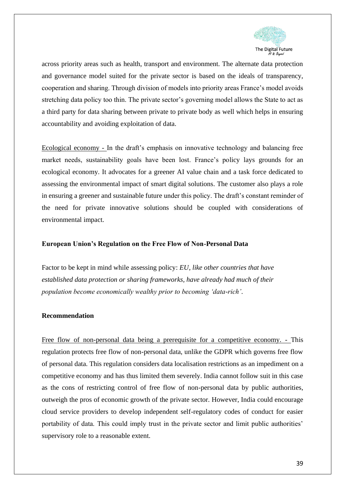

across priority areas such as health, transport and environment. The alternate data protection and governance model suited for the private sector is based on the ideals of transparency, cooperation and sharing. Through division of models into priority areas France's model avoids stretching data policy too thin. The private sector's governing model allows the State to act as a third party for data sharing between private to private body as well which helps in ensuring accountability and avoiding exploitation of data.

Ecological economy - In the draft's emphasis on innovative technology and balancing free market needs, sustainability goals have been lost. France's policy lays grounds for an ecological economy. It advocates for a greener AI value chain and a task force dedicated to assessing the environmental impact of smart digital solutions. The customer also plays a role in ensuring a greener and sustainable future under this policy. The draft's constant reminder of the need for private innovative solutions should be coupled with considerations of environmental impact.

#### <span id="page-38-0"></span>**European Union's Regulation on the Free Flow of Non-Personal Data**

Factor to be kept in mind while assessing policy: *EU, like other countries that have established data protection or sharing frameworks, have already had much of their population become economically wealthy prior to becoming 'data-rich'*.

# **Recommendation**

Free flow of non-personal data being a prerequisite for a competitive economy. - This regulation protects free flow of non-personal data, unlike the GDPR which governs free flow of personal data. This regulation considers data localisation restrictions as an impediment on a competitive economy and has thus limited them severely. India cannot follow suit in this case as the cons of restricting control of free flow of non-personal data by public authorities, outweigh the pros of economic growth of the private sector. However, India could encourage cloud service providers to develop independent self-regulatory codes of conduct for easier portability of data. This could imply trust in the private sector and limit public authorities' supervisory role to a reasonable extent.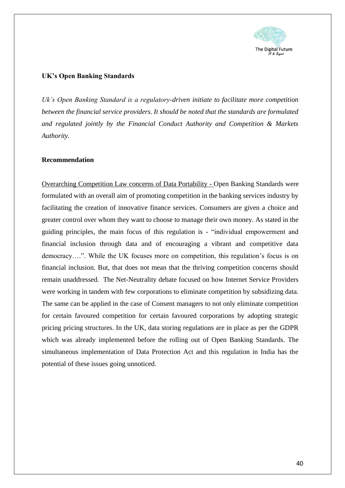

# <span id="page-39-0"></span>**UK's Open Banking Standards**

*Uk's Open Banking Standard is a regulatory-driven initiate to facilitate more competition between the financial service providers. It should be noted that the standards are formulated and regulated jointly by the Financial Conduct Authority and Competition & Markets Authority.* 

# **Recommendation**

Overarching Competition Law concerns of Data Portability - Open Banking Standards were formulated with an overall aim of promoting competition in the banking services industry by facilitating the creation of innovative finance services. Consumers are given a choice and greater control over whom they want to choose to manage their own money. As stated in the guiding principles, the main focus of this regulation is - "individual empowerment and financial inclusion through data and of encouraging a vibrant and competitive data democracy….". While the UK focuses more on competition, this regulation's focus is on financial inclusion. But, that does not mean that the thriving competition concerns should remain unaddressed. The Net-Neutrality debate focused on how Internet Service Providers were working in tandem with few corporations to eliminate competition by subsidizing data. The same can be applied in the case of Consent managers to not only eliminate competition for certain favoured competition for certain favoured corporations by adopting strategic pricing pricing structures. In the UK, data storing regulations are in place as per the GDPR which was already implemented before the rolling out of Open Banking Standards. The simultaneous implementation of Data Protection Act and this regulation in India has the potential of these issues going unnoticed.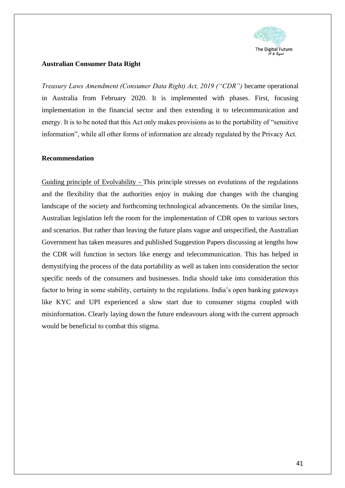

#### <span id="page-40-0"></span>**Australian Consumer Data Right**

*Treasury Laws Amendment (Consumer Data Right) Act, 2019 ("CDR")* became operational in Australia from February 2020. It is implemented with phases. First, focusing implementation in the financial sector and then extending it to telecommunication and energy. It is to be noted that this Act only makes provisions as to the portability of "sensitive information", while all other forms of information are already regulated by the Privacy Act.

#### **Recommendation**

Guiding principle of Evolvability - This principle stresses on evolutions of the regulations and the flexibility that the authorities enjoy in making due changes with the changing landscape of the society and forthcoming technological advancements. On the similar lines, Australian legislation left the room for the implementation of CDR open to various sectors and scenarios. But rather than leaving the future plans vague and unspecified, the Australian Government has taken measures and published Suggestion Papers discussing at lengths how the CDR will function in sectors like energy and telecommunication. This has helped in demystifying the process of the data portability as well as taken into consideration the sector specific needs of the consumers and businesses. India should take into consideration this factor to bring in some stability, certainty to the regulations. India's open banking gateways like KYC and UPI experienced a slow start due to consumer stigma coupled with misinformation. Clearly laying down the future endeavours along with the current approach would be beneficial to combat this stigma.